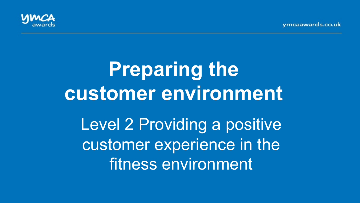vmcaawards.co.uk



# **Preparing the customer environment**  Level 2 Providing a positive

customer experience in the fitness environment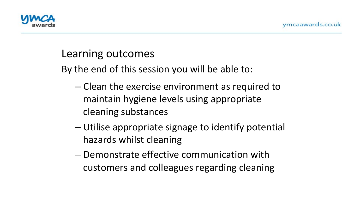

#### Learning outcomes

By the end of this session you will be able to:

- $-$  Clean the exercise environment as required to maintain hygiene levels using appropriate cleaning substances
- Utilise appropriate signage to identify potential hazards whilst cleaning
- Demonstrate effective communication with customers and colleagues regarding cleaning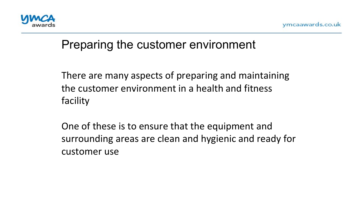

#### Preparing the customer environment

There are many aspects of preparing and maintaining the customer environment in a health and fitness facility 

One of these is to ensure that the equipment and surrounding areas are clean and hygienic and ready for customer use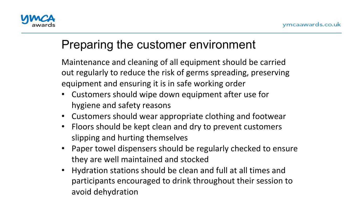

#### Preparing the customer environment

Maintenance and cleaning of all equipment should be carried out regularly to reduce the risk of germs spreading, preserving equipment and ensuring it is in safe working order

- Customers should wipe down equipment after use for hygiene and safety reasons
- Customers should wear appropriate clothing and footwear
- Floors should be kept clean and dry to prevent customers slipping and hurting themselves
- Paper towel dispensers should be regularly checked to ensure they are well maintained and stocked
- Hydration stations should be clean and full at all times and participants encouraged to drink throughout their session to avoid dehydration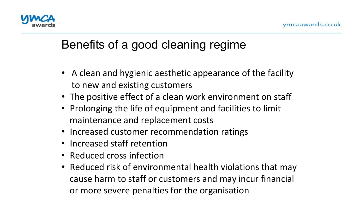

## Benefits of a good cleaning regime

- A clean and hygienic aesthetic appearance of the facility to new and existing customers
- The positive effect of a clean work environment on staff
- Prolonging the life of equipment and facilities to limit maintenance and replacement costs
- Increased customer recommendation ratings
- Increased staff retention
- Reduced cross infection
- Reduced risk of environmental health violations that may cause harm to staff or customers and may incur financial or more severe penalties for the organisation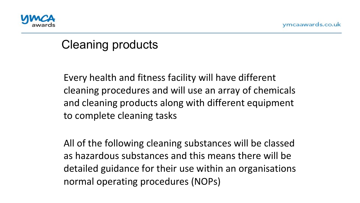

#### Cleaning products

Every health and fitness facility will have different cleaning procedures and will use an array of chemicals and cleaning products along with different equipment to complete cleaning tasks  $\overline{1}$ 

All of the following cleaning substances will be classed as hazardous substances and this means there will be detailed guidance for their use within an organisations normal operating procedures (NOPs)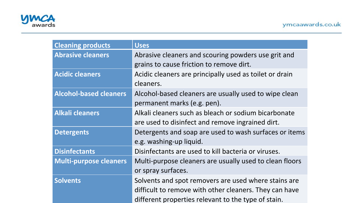

| <b>Cleaning products</b>      | <b>Uses</b>                                             |
|-------------------------------|---------------------------------------------------------|
| <b>Abrasive cleaners</b>      | Abrasive cleaners and scouring powders use grit and     |
|                               | grains to cause friction to remove dirt.                |
| <b>Acidic cleaners</b>        | Acidic cleaners are principally used as toilet or drain |
|                               | cleaners.                                               |
| <b>Alcohol-based cleaners</b> | Alcohol-based cleaners are usually used to wipe clean   |
|                               | permanent marks (e.g. pen).                             |
| <b>Alkali cleaners</b>        | Alkali cleaners such as bleach or sodium bicarbonate    |
|                               | are used to disinfect and remove ingrained dirt.        |
| <b>Detergents</b>             | Detergents and soap are used to wash surfaces or items  |
|                               | e.g. washing-up liquid.                                 |
| <b>Disinfectants</b>          | Disinfectants are used to kill bacteria or viruses.     |
| <b>Multi-purpose cleaners</b> | Multi-purpose cleaners are usually used to clean floors |
|                               | or spray surfaces.                                      |
| <b>Solvents</b>               | Solvents and spot removers are used where stains are    |
|                               | difficult to remove with other cleaners. They can have  |
|                               | different properties relevant to the type of stain.     |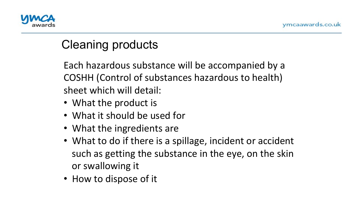

## Cleaning products

Each hazardous substance will be accompanied by a COSHH (Control of substances hazardous to health) sheet which will detail:  $\overline{\mathbf{a}}$ 

- What the product is
- What it should be used for
- What the ingredients are
- What to do if there is a spillage, incident or accident such as getting the substance in the eye, on the skin or swallowing it
- How to dispose of it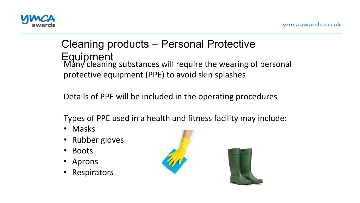

#### Cleaning products – Personal Protective **Equipment** Many cleaning substances will require the wearing of personal protective equipment (PPE) to avoid skin splashes

Details of PPE will be included in the operating procedures

Types of PPE used in a health and fitness facility may include:

- Masks
- Rubber gloves
- Boots
- Aprons
- Respirators



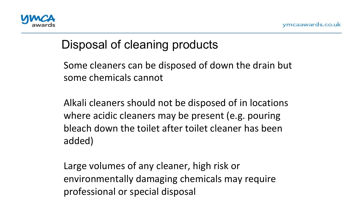

## Disposal of cleaning products

Some cleaners can be disposed of down the drain but some chemicals cannot  $\overline{\phantom{a}}$ 

Alkali cleaners should not be disposed of in locations where acidic cleaners may be present (e.g. pouring bleach down the toilet after toilet cleaner has been added) 

Large volumes of any cleaner, high risk or environmentally damaging chemicals may require professional or special disposal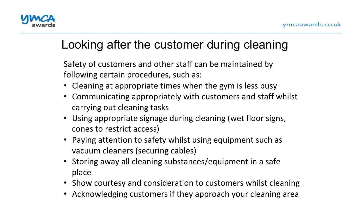

# Looking after the customer during cleaning

Safety of customers and other staff can be maintained by following certain procedures, such as:

- Cleaning at appropriate times when the gym is less busy
- Communicating appropriately with customers and staff whilst carrying out cleaning tasks
- Using appropriate signage during cleaning (wet floor signs, cones to restrict access)
- Paying attention to safety whilst using equipment such as vacuum cleaners (securing cables)
- Storing away all cleaning substances/equipment in a safe place
- Show courtesy and consideration to customers whilst cleaning
- Acknowledging customers if they approach your cleaning area